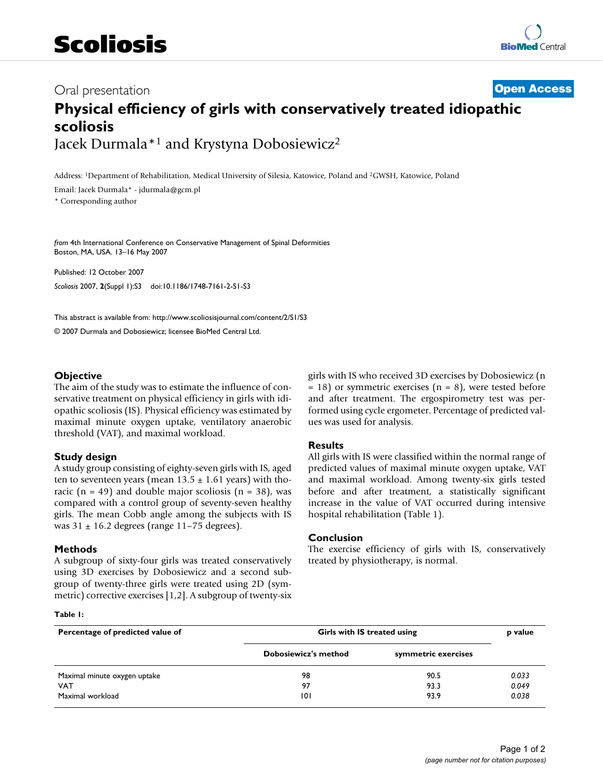# Oral presentation **[Open Access](http://www.biomedcentral.com/info/about/charter/) Physical efficiency of girls with conservatively treated idiopathic scoliosis** Jacek Durmala\*1 and Krystyna Dobosiewicz2

Address: 1Department of Rehabilitation, Medical University of Silesia, Katowice, Poland and 2GWSH, Katowice, Poland

Email: Jacek Durmala\* - jdurmala@gcm.pl

\* Corresponding author

*from* 4th International Conference on Conservative Management of Spinal Deformities Boston, MA, USA. 13–16 May 2007

Published: 12 October 2007 *Scoliosis* 2007, **2**(Suppl 1):S3 doi:10.1186/1748-7161-2-S1-S3

[This abstract is available from: http://www.scoliosisjournal.com/content/2/S1/S3](http://www.scoliosisjournal.com/content/2/S1/S3)

© 2007 Durmala and Dobosiewicz; licensee BioMed Central Ltd.

# **Objective**

The aim of the study was to estimate the influence of conservative treatment on physical efficiency in girls with idiopathic scoliosis (IS). Physical efficiency was estimated by maximal minute oxygen uptake, ventilatory anaerobic threshold (VAT), and maximal workload.

## **Study design**

A study group consisting of eighty-seven girls with IS, aged ten to seventeen years (mean  $13.5 \pm 1.61$  years) with thoracic ( $n = 49$ ) and double major scoliosis ( $n = 38$ ), was compared with a control group of seventy-seven healthy girls. The mean Cobb angle among the subjects with IS was 31 ± 16.2 degrees (range 11–75 degrees).

## **Methods**

A subgroup of sixty-four girls was treated conservatively using 3D exercises by Dobosiewicz and a second subgroup of twenty-three girls were treated using 2D (symmetric) corrective exercises [1,2]. A subgroup of twenty-six

#### **Table 1:**

girls with IS who received 3D exercises by Dobosiewicz (n  $= 18$ ) or symmetric exercises (n  $= 8$ ), were tested before and after treatment. The ergospirometry test was performed using cycle ergometer. Percentage of predicted values was used for analysis.

## **Results**

All girls with IS were classified within the normal range of predicted values of maximal minute oxygen uptake, VAT and maximal workload. Among twenty-six girls tested before and after treatment, a statistically significant increase in the value of VAT occurred during intensive hospital rehabilitation (Table 1).

#### **Conclusion**

The exercise efficiency of girls with IS, conservatively treated by physiotherapy, is normal.

| Percentage of predicted value of | Girls with IS treated using |                     | p value |
|----------------------------------|-----------------------------|---------------------|---------|
|                                  | <b>Dobosiewicz's method</b> | symmetric exercises |         |
| Maximal minute oxygen uptake     | 98                          | 90.5                | 0.033   |
| <b>VAT</b>                       | 97                          | 93.3                | 0.049   |
| Maximal workload                 | 101                         | 93.9                | 0.038   |